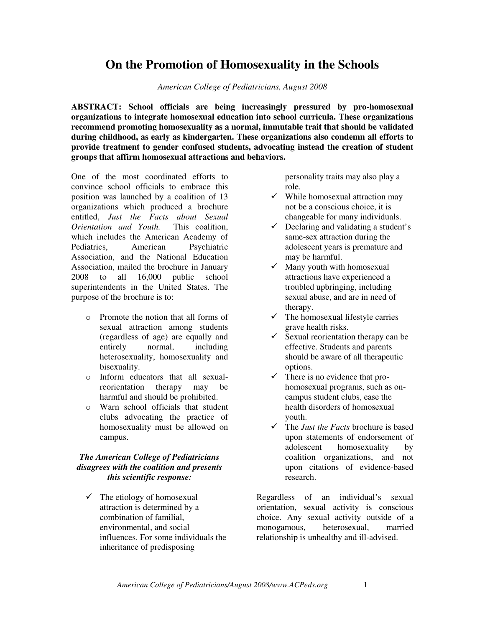## **On the Promotion of Homosexuality in the Schools**

*American College of Pediatricians, August 2008* 

**ABSTRACT: School officials are being increasingly pressured by pro-homosexual organizations to integrate homosexual education into school curricula. These organizations recommend promoting homosexuality as a normal, immutable trait that should be validated during childhood, as early as kindergarten. These organizations also condemn all efforts to provide treatment to gender confused students, advocating instead the creation of student groups that affirm homosexual attractions and behaviors.** 

One of the most coordinated efforts to convince school officials to embrace this position was launched by a coalition of 13 organizations which produced a brochure entitled, *Just the Facts about Sexual Orientation and Youth.* This coalition, which includes the American Academy of Pediatrics, American Psychiatric Association, and the National Education Association, mailed the brochure in January 2008 to all 16,000 public school superintendents in the United States. The purpose of the brochure is to:

- o Promote the notion that all forms of sexual attraction among students (regardless of age) are equally and entirely normal, including heterosexuality, homosexuality and bisexuality.
- o Inform educators that all sexualreorientation therapy may be harmful and should be prohibited.
- o Warn school officials that student clubs advocating the practice of homosexuality must be allowed on campus.

## *The American College of Pediatricians disagrees with the coalition and presents this scientific response:*

 $\checkmark$  The etiology of homosexual attraction is determined by a combination of familial, environmental, and social influences. For some individuals the inheritance of predisposing

personality traits may also play a role.

- $\checkmark$  While homosexual attraction may not be a conscious choice, it is changeable for many individuals.
- $\checkmark$  Declaring and validating a student's same-sex attraction during the adolescent years is premature and may be harmful.
- $\checkmark$  Many youth with homosexual attractions have experienced a troubled upbringing, including sexual abuse, and are in need of therapy.
- $\checkmark$  The homosexual lifestyle carries grave health risks.
- $\checkmark$  Sexual reorientation therapy can be effective. Students and parents should be aware of all therapeutic options.
- $\checkmark$  There is no evidence that prohomosexual programs, such as oncampus student clubs, ease the health disorders of homosexual youth.
- The *Just the Facts* brochure is based upon statements of endorsement of adolescent homosexuality by coalition organizations, and not upon citations of evidence-based research.

Regardless of an individual's sexual orientation, sexual activity is conscious choice. Any sexual activity outside of a monogamous, heterosexual, married relationship is unhealthy and ill-advised.